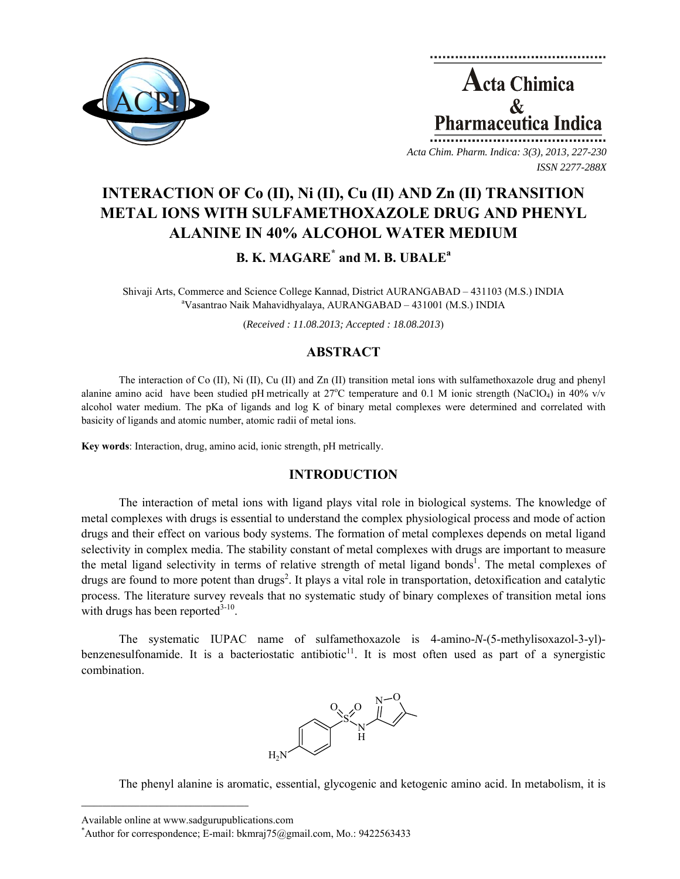

**Acta Chimica**  $\mathcal{R}$ **Pharmaceutica Indica** 

*Acta Chim. Pharm. Indica: 3(3), 2013, 227-230 ISSN 2277-288X*

# **INTERACTION OF Co (II), Ni (II), Cu (II) AND Zn (II) TRANSITION METAL IONS WITH SULFAMETHOXAZOLE DRUG AND PHENYL ALANINE IN 40% ALCOHOL WATER MEDIUM**

**B. K. MAGARE\* and M. B. UBALE<sup>a</sup>**

Shivaji Arts, Commerce and Science College Kannad, District AURANGABAD – 431103 (M.S.) INDIA a Vasantrao Naik Mahavidhyalaya, AURANGABAD – 431001 (M.S.) INDIA

(*Received : 11.08.2013; Accepted : 18.08.2013*)

## **ABSTRACT**

The interaction of Co (II), Ni (II), Cu (II) and Zn (II) transition metal ions with sulfamethoxazole drug and phenyl alanine amino acid have been studied pH metrically at  $27^{\circ}$ C temperature and 0.1 M ionic strength (NaClO<sub>4</sub>) in 40% v/v alcohol water medium. The pKa of ligands and log K of binary metal complexes were determined and correlated with basicity of ligands and atomic number, atomic radii of metal ions.

**Key words**: Interaction, drug, amino acid, ionic strength, pH metrically.

## **INTRODUCTION**

The interaction of metal ions with ligand plays vital role in biological systems. The knowledge of metal complexes with drugs is essential to understand the complex physiological process and mode of action drugs and their effect on various body systems. The formation of metal complexes depends on metal ligand selectivity in complex media. The stability constant of metal complexes with drugs are important to measure the metal ligand selectivity in terms of relative strength of metal ligand bonds<sup>1</sup>. The metal complexes of drugs are found to more potent than drugs<sup>2</sup>. It plays a vital role in transportation, detoxification and catalytic process. The literature survey reveals that no systematic study of binary complexes of transition metal ions with drugs has been reported $3-10$ .

The systematic IUPAC name of sulfamethoxazole is 4-amino-*N*-(5-methylisoxazol-3-yl) benzenesulfonamide. It is a bacteriostatic antibiotic<sup>11</sup>. It is most often used as part of a synergistic combination.



The phenyl alanine is aromatic, essential, glycogenic and ketogenic amino acid. In metabolism, it is

 $\mathcal{L}=\{1,2,3,4,5\}$ 

Available online at www.sadgurupublications.com \*

<sup>\*</sup>Author for correspondence; E-mail: bkmraj $75$ @gmail.com, Mo.: 9422563433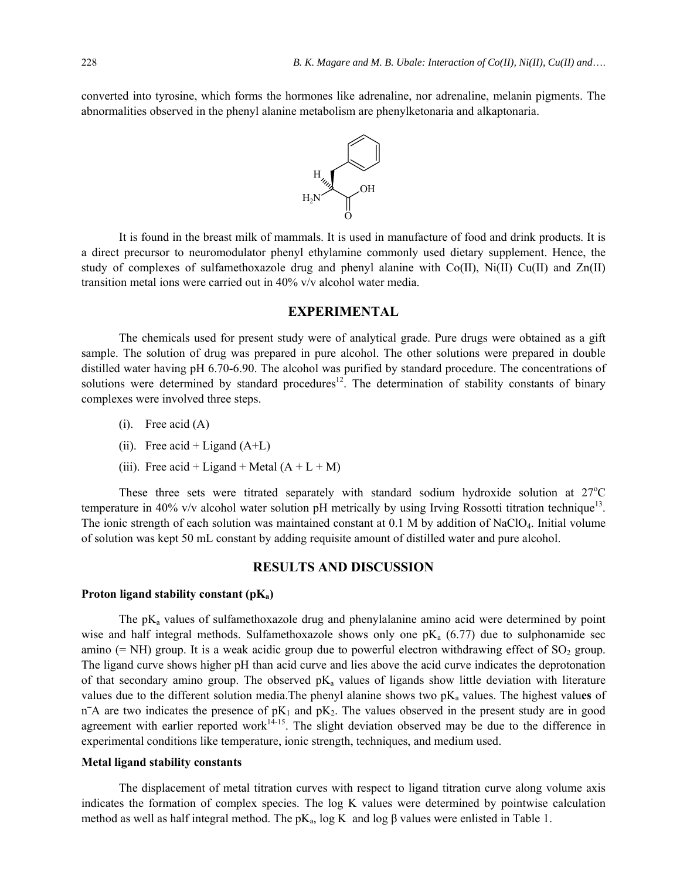converted into tyrosine, which forms the hormones like adrenaline, nor adrenaline, melanin pigments. The abnormalities observed in the phenyl alanine metabolism are phenylketonaria and alkaptonaria.



It is found in the breast milk of mammals. It is used in manufacture of food and drink products. It is a direct precursor to neuromodulator phenyl ethylamine commonly used dietary supplement. Hence, the study of complexes of sulfamethoxazole drug and phenyl alanine with  $Co(II)$ ,  $Ni(II)$  Cu(II) and  $Zn(II)$ transition metal ions were carried out in 40% v/v alcohol water media.

## **EXPERIMENTAL**

The chemicals used for present study were of analytical grade. Pure drugs were obtained as a gift sample. The solution of drug was prepared in pure alcohol. The other solutions were prepared in double distilled water having pH 6.70-6.90. The alcohol was purified by standard procedure. The concentrations of solutions were determined by standard procedures<sup>12</sup>. The determination of stability constants of binary complexes were involved three steps.

- $(i)$ . Free acid  $(A)$
- (ii). Free acid + Ligand  $(A+L)$
- (iii). Free acid + Ligand + Metal  $(A + L + M)$

These three sets were titrated separately with standard sodium hydroxide solution at  $27^{\circ}$ C temperature in 40% v/v alcohol water solution pH metrically by using Irving Rossotti titration technique<sup>13</sup>. The ionic strength of each solution was maintained constant at 0.1 M by addition of NaClO4. Initial volume of solution was kept 50 mL constant by adding requisite amount of distilled water and pure alcohol.

## **RESULTS AND DISCUSSION**

#### Proton ligand stability constant (pK<sub>a</sub>)

The  $pK_a$  values of sulfamethoxazole drug and phenylalanine amino acid were determined by point wise and half integral methods. Sulfamethoxazole shows only one  $pK_a$  (6.77) due to sulphonamide sec amino (= NH) group. It is a weak acidic group due to powerful electron withdrawing effect of  $SO_2$  group. The ligand curve shows higher pH than acid curve and lies above the acid curve indicates the deprotonation of that secondary amino group. The observed  $pK_a$  values of ligands show little deviation with literature values due to the different solution media. The phenyl alanine shows two pK<sub>a</sub> values. The highest values of  $n<sup>-</sup>A$  are two indicates the presence of pK<sub>1</sub> and pK<sub>2</sub>. The values observed in the present study are in good agreement with earlier reported work<sup>14-15</sup>. The slight deviation observed may be due to the difference in experimental conditions like temperature, ionic strength, techniques, and medium used.

#### **Metal ligand stability constants**

The displacement of metal titration curves with respect to ligand titration curve along volume axis indicates the formation of complex species. The log K values were determined by pointwise calculation method as well as half integral method. The  $pK_a$ , log K and log  $\beta$  values were enlisted in Table 1.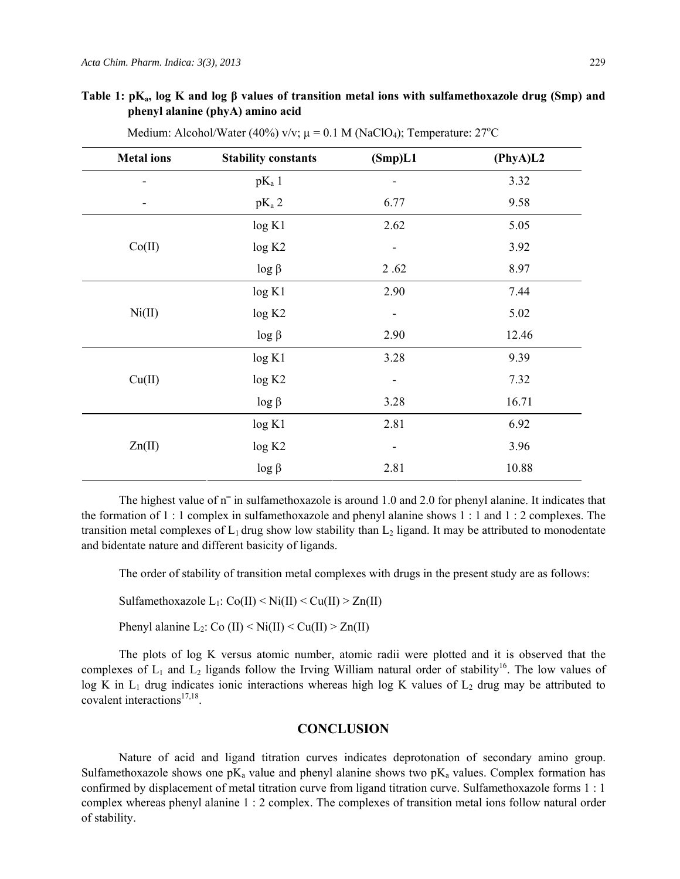## **Table 1: pKa, log K and log β values of transition metal ions with sulfamethoxazole drug (Smp) and phenyl alanine (phyA) amino acid**

| <b>Metal</b> ions | <b>Stability constants</b> | (Smp)L1                      | (PhyA)L2 |
|-------------------|----------------------------|------------------------------|----------|
|                   | $pK_a 1$                   |                              | 3.32     |
| -                 | $pK_a$ 2                   | 6.77                         | 9.58     |
| Co(II)            | log K1                     | 2.62                         | 5.05     |
|                   | log K2                     | ۰                            | 3.92     |
|                   | $log \beta$                | 2.62                         | 8.97     |
| Ni(II)            | log K1                     | 2.90                         | 7.44     |
|                   | log K2                     | $\qquad \qquad \blacksquare$ | 5.02     |
|                   | $log \beta$                | 2.90                         | 12.46    |
| Cu(II)            | log K1                     | 3.28                         | 9.39     |
|                   | log K2                     | ۰                            | 7.32     |
|                   | $log \beta$                | 3.28                         | 16.71    |
| Zn(II)            | log K1                     | 2.81                         | 6.92     |
|                   | log K2                     | ۰                            | 3.96     |
|                   | $log \beta$                | 2.81                         | 10.88    |

Medium: Alcohol/Water (40%) v/v;  $\mu = 0.1$  M (NaClO<sub>4</sub>); Temperature: 27<sup>o</sup>C

The highest value of  $n<sup>-</sup>$  in sulfamethoxazole is around 1.0 and 2.0 for phenyl alanine. It indicates that the formation of 1 : 1 complex in sulfamethoxazole and phenyl alanine shows 1 : 1 and 1 : 2 complexes. The transition metal complexes of  $L_1$  drug show low stability than  $L_2$  ligand. It may be attributed to monodentate and bidentate nature and different basicity of ligands.

The order of stability of transition metal complexes with drugs in the present study are as follows:

Sulfamethoxazole L<sub>1</sub>:  $Co(II) < Ni(II) < Cu(II) > Zn(II)$ 

Phenyl alanine  $L_2$ : Co (II) < Ni(II) < Cu(II) > Zn(II)

The plots of log K versus atomic number, atomic radii were plotted and it is observed that the complexes of  $L_1$  and  $L_2$  ligands follow the Irving William natural order of stability<sup>16</sup>. The low values of log K in  $L_1$  drug indicates ionic interactions whereas high log K values of  $L_2$  drug may be attributed to covalent interactions $17,18$ .

## **CONCLUSION**

Nature of acid and ligand titration curves indicates deprotonation of secondary amino group. Sulfamethoxazole shows one  $pK_a$  value and phenyl alanine shows two  $pK_a$  values. Complex formation has confirmed by displacement of metal titration curve from ligand titration curve. Sulfamethoxazole forms 1 : 1 complex whereas phenyl alanine 1 : 2 complex. The complexes of transition metal ions follow natural order of stability.